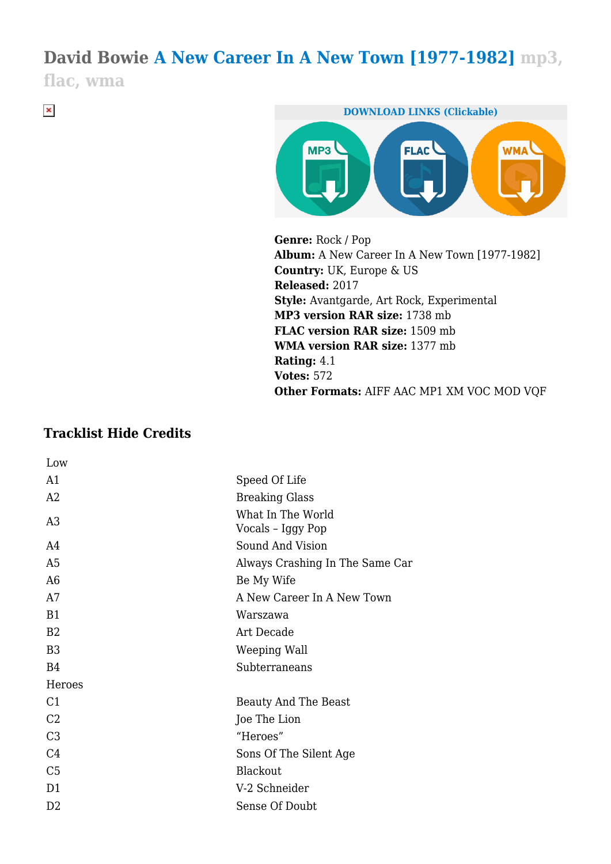## **David Bowie A New Career In A New Town [1977-1982] mp3,**

**flac, wma**

 $\pmb{\times}$ 



**Genre:** Rock / Pop **Album:** A New Career In A New Town [1977-1982] **Country:** UK, Europe & US **Released:** 2017 **Style:** Avantgarde, Art Rock, Experimental **MP3 version RAR size:** 1738 mb **FLAC version RAR size:** 1509 mb **WMA version RAR size:** 1377 mb **Rating:** 4.1 **Votes:** 572 **Other Formats:** AIFF AAC MP1 XM VOC MOD VQF

## **Tracklist Hide Credits**

| Low            |                                        |  |  |  |
|----------------|----------------------------------------|--|--|--|
| A1             | Speed Of Life                          |  |  |  |
| A <sub>2</sub> | <b>Breaking Glass</b>                  |  |  |  |
| A <sub>3</sub> | What In The World<br>Vocals - Iggy Pop |  |  |  |
| A4             | Sound And Vision                       |  |  |  |
| A <sub>5</sub> | Always Crashing In The Same Car        |  |  |  |
| A <sub>6</sub> | Be My Wife                             |  |  |  |
| A7             | A New Career In A New Town             |  |  |  |
| <b>B1</b>      | Warszawa                               |  |  |  |
| B <sub>2</sub> | Art Decade                             |  |  |  |
| B <sub>3</sub> | Weeping Wall                           |  |  |  |
| <b>B4</b>      | Subterraneans                          |  |  |  |
| Heroes         |                                        |  |  |  |
| C <sub>1</sub> | Beauty And The Beast                   |  |  |  |
| C <sub>2</sub> | Joe The Lion                           |  |  |  |
| C <sub>3</sub> | "Heroes"                               |  |  |  |
| C <sub>4</sub> | Sons Of The Silent Age                 |  |  |  |
| C <sub>5</sub> | Blackout                               |  |  |  |
| D <sub>1</sub> | V-2 Schneider                          |  |  |  |
| D <sub>2</sub> | Sense Of Doubt                         |  |  |  |
|                |                                        |  |  |  |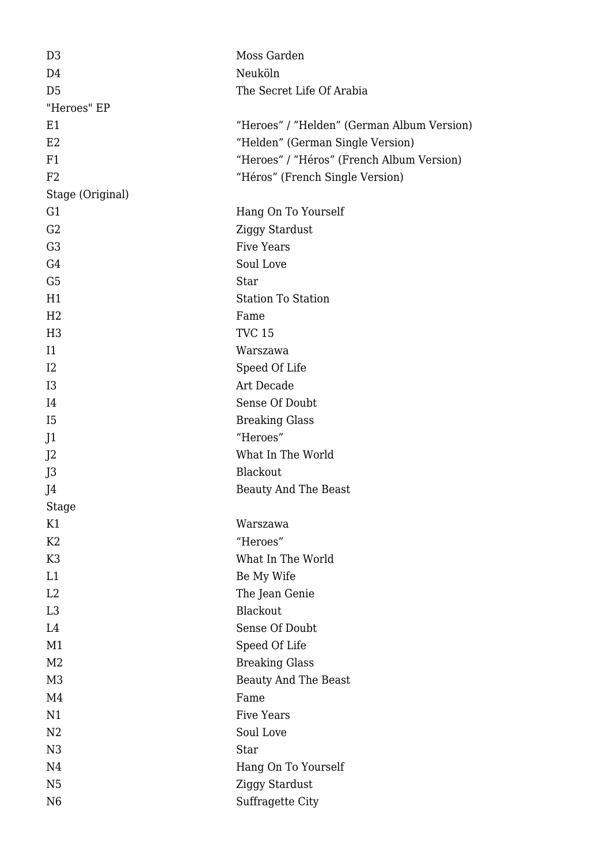| D <sub>3</sub>   | Moss Garden                                |  |  |
|------------------|--------------------------------------------|--|--|
| D <sub>4</sub>   | Neuköln                                    |  |  |
| D <sub>5</sub>   | The Secret Life Of Arabia                  |  |  |
| "Heroes" EP      |                                            |  |  |
| E1               | "Heroes" / "Helden" (German Album Version) |  |  |
| E2               | "Helden" (German Single Version)           |  |  |
| F1               | "Heroes" / "Héros" (French Album Version)  |  |  |
| F <sub>2</sub>   | "Héros" (French Single Version)            |  |  |
| Stage (Original) |                                            |  |  |
| G <sub>1</sub>   | Hang On To Yourself                        |  |  |
| G <sub>2</sub>   | Ziggy Stardust                             |  |  |
| G <sub>3</sub>   | <b>Five Years</b>                          |  |  |
| G4               | Soul Love                                  |  |  |
| G <sub>5</sub>   | <b>Star</b>                                |  |  |
| H1               | <b>Station To Station</b>                  |  |  |
| H <sub>2</sub>   | Fame                                       |  |  |
| H <sub>3</sub>   | <b>TVC 15</b>                              |  |  |
| I <sub>1</sub>   | Warszawa                                   |  |  |
| 12               | Speed Of Life                              |  |  |
| 13               | Art Decade                                 |  |  |
| I4               | Sense Of Doubt                             |  |  |
| <b>I5</b>        | <b>Breaking Glass</b>                      |  |  |
| J <sub>1</sub>   | "Heroes"                                   |  |  |
| J <sub>2</sub>   | What In The World                          |  |  |
| J3               | Blackout                                   |  |  |
| J4               | Beauty And The Beast                       |  |  |
| <b>Stage</b>     |                                            |  |  |
| K1               | Warszawa                                   |  |  |
| K2               | "Heroes"                                   |  |  |
| K <sub>3</sub>   | What In The World                          |  |  |
| L1               | Be My Wife                                 |  |  |
| L2               | The Jean Genie                             |  |  |
| L <sub>3</sub>   | Blackout                                   |  |  |
| L4               | Sense Of Doubt                             |  |  |
| M1               | Speed Of Life                              |  |  |
| M <sub>2</sub>   | <b>Breaking Glass</b>                      |  |  |
| M <sub>3</sub>   | Beauty And The Beast                       |  |  |
| M4               | Fame                                       |  |  |
| N1               | <b>Five Years</b>                          |  |  |
| N <sub>2</sub>   | Soul Love                                  |  |  |
| N3               | Star                                       |  |  |
| N <sub>4</sub>   | Hang On To Yourself                        |  |  |
| N <sub>5</sub>   | Ziggy Stardust                             |  |  |
| N <sub>6</sub>   | Suffragette City                           |  |  |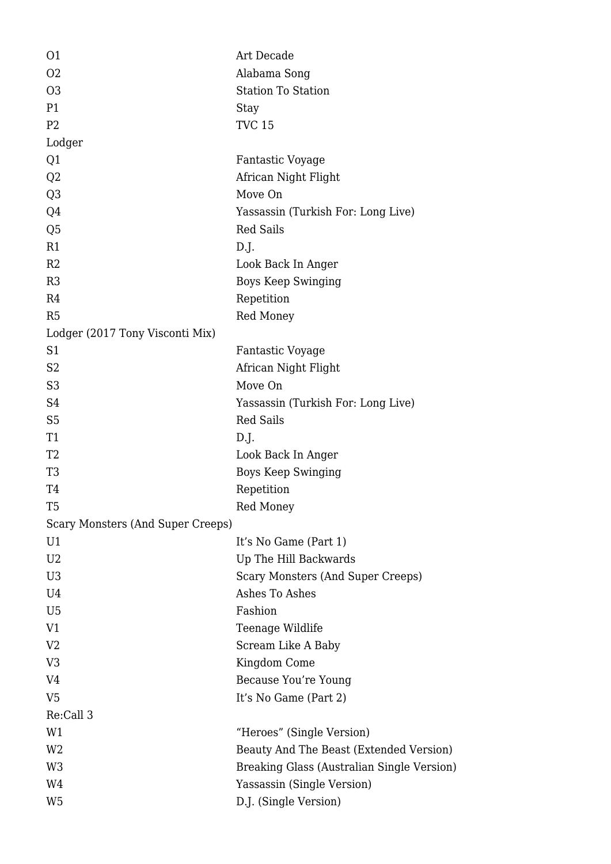| <b>O1</b>                         | Art Decade                                 |  |  |
|-----------------------------------|--------------------------------------------|--|--|
| O <sub>2</sub>                    | Alabama Song                               |  |  |
| <b>O3</b>                         | <b>Station To Station</b>                  |  |  |
| P <sub>1</sub>                    | Stay                                       |  |  |
| P <sub>2</sub>                    | <b>TVC 15</b>                              |  |  |
| Lodger                            |                                            |  |  |
| Q <sub>1</sub>                    | <b>Fantastic Voyage</b>                    |  |  |
| Q <sub>2</sub>                    | African Night Flight                       |  |  |
| Q <sub>3</sub>                    | Move On                                    |  |  |
| Q4                                | Yassassin (Turkish For: Long Live)         |  |  |
| Q <sub>5</sub>                    | <b>Red Sails</b>                           |  |  |
| R1                                | D.J.                                       |  |  |
| R2                                | Look Back In Anger                         |  |  |
| R3                                | <b>Boys Keep Swinging</b>                  |  |  |
| R4                                | Repetition                                 |  |  |
| R <sub>5</sub>                    | Red Money                                  |  |  |
| Lodger (2017 Tony Visconti Mix)   |                                            |  |  |
| S <sub>1</sub>                    | <b>Fantastic Voyage</b>                    |  |  |
| S <sub>2</sub>                    | African Night Flight                       |  |  |
| S <sub>3</sub>                    | Move On                                    |  |  |
| S <sub>4</sub>                    | Yassassin (Turkish For: Long Live)         |  |  |
| S <sub>5</sub>                    | <b>Red Sails</b>                           |  |  |
| T <sub>1</sub>                    | D.J.                                       |  |  |
| T <sub>2</sub>                    | Look Back In Anger                         |  |  |
| T <sub>3</sub>                    | <b>Boys Keep Swinging</b>                  |  |  |
| T4                                | Repetition                                 |  |  |
| T5                                | <b>Red Money</b>                           |  |  |
| Scary Monsters (And Super Creeps) |                                            |  |  |
| U1                                | It's No Game (Part 1)                      |  |  |
| U <sub>2</sub>                    | Up The Hill Backwards                      |  |  |
| U <sub>3</sub>                    | Scary Monsters (And Super Creeps)          |  |  |
| U4                                | Ashes To Ashes                             |  |  |
| U <sub>5</sub>                    | Fashion                                    |  |  |
| V1                                | Teenage Wildlife                           |  |  |
| V <sub>2</sub>                    | Scream Like A Baby                         |  |  |
| V <sub>3</sub>                    | Kingdom Come                               |  |  |
| V4                                | Because You're Young                       |  |  |
| V <sub>5</sub>                    | It's No Game (Part 2)                      |  |  |
| Re:Call 3                         |                                            |  |  |
| W1                                | "Heroes" (Single Version)                  |  |  |
| W <sub>2</sub>                    | Beauty And The Beast (Extended Version)    |  |  |
| W <sub>3</sub>                    | Breaking Glass (Australian Single Version) |  |  |
| W4                                | Yassassin (Single Version)                 |  |  |
| W <sub>5</sub>                    | D.J. (Single Version)                      |  |  |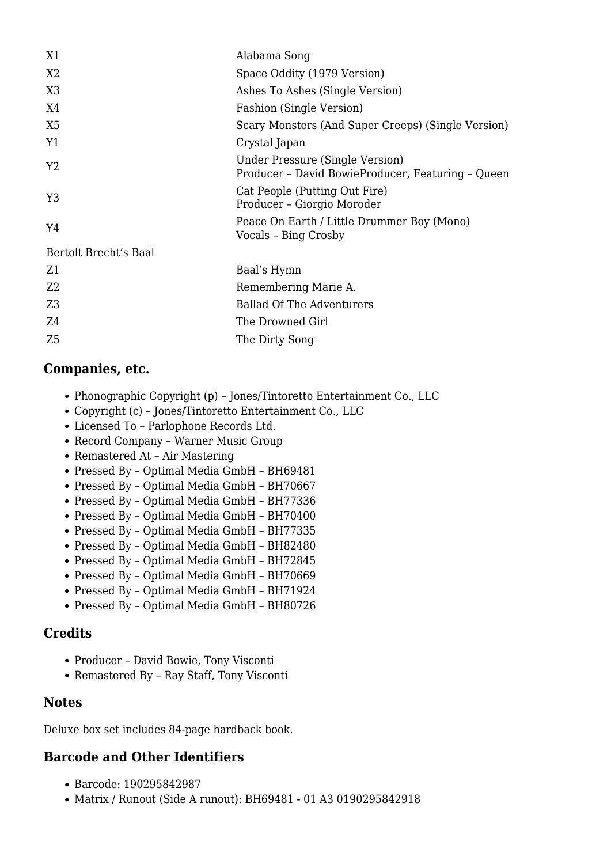| X1                    | Alabama Song                                                                         |
|-----------------------|--------------------------------------------------------------------------------------|
| X2                    | Space Oddity (1979 Version)                                                          |
| X <sub>3</sub>        | Ashes To Ashes (Single Version)                                                      |
| X4                    | Fashion (Single Version)                                                             |
| X <sub>5</sub>        | Scary Monsters (And Super Creeps) (Single Version)                                   |
| Y1                    | Crystal Japan                                                                        |
| Y2                    | Under Pressure (Single Version)<br>Producer - David BowieProducer, Featuring - Queen |
| Y3                    | Cat People (Putting Out Fire)<br>Producer - Giorgio Moroder                          |
| Y4                    | Peace On Earth / Little Drummer Boy (Mono)<br>Vocals - Bing Crosby                   |
| Bertolt Brecht's Baal |                                                                                      |
| Z1                    | Baal's Hymn                                                                          |
| Z <sub>2</sub>        | Remembering Marie A.                                                                 |
| Z <sub>3</sub>        | <b>Ballad Of The Adventurers</b>                                                     |
| Z4                    | The Drowned Girl                                                                     |
| Z <sub>5</sub>        | The Dirty Song                                                                       |
|                       |                                                                                      |

## **Companies, etc.**

- Phonographic Copyright (p) Jones/Tintoretto Entertainment Co., LLC
- Copyright (c) Jones/Tintoretto Entertainment Co., LLC
- Licensed To Parlophone Records Ltd.
- Record Company Warner Music Group
- Remastered At Air Mastering
- Pressed By Optimal Media GmbH BH69481
- Pressed By Optimal Media GmbH BH70667
- Pressed By Optimal Media GmbH BH77336
- Pressed By Optimal Media GmbH BH70400
- Pressed By Optimal Media GmbH BH77335
- Pressed By Optimal Media GmbH BH82480
- Pressed By Optimal Media GmbH BH72845
- Pressed By Optimal Media GmbH BH70669
- Pressed By Optimal Media GmbH BH71924
- Pressed By Optimal Media GmbH BH80726

## **Credits**

- Producer David Bowie, Tony Visconti
- Remastered By Ray Staff, Tony Visconti

## **Notes**

Deluxe box set includes 84-page hardback book.

## **Barcode and Other Identifiers**

- Barcode: 190295842987
- Matrix / Runout (Side A runout): BH69481 01 A3 0190295842918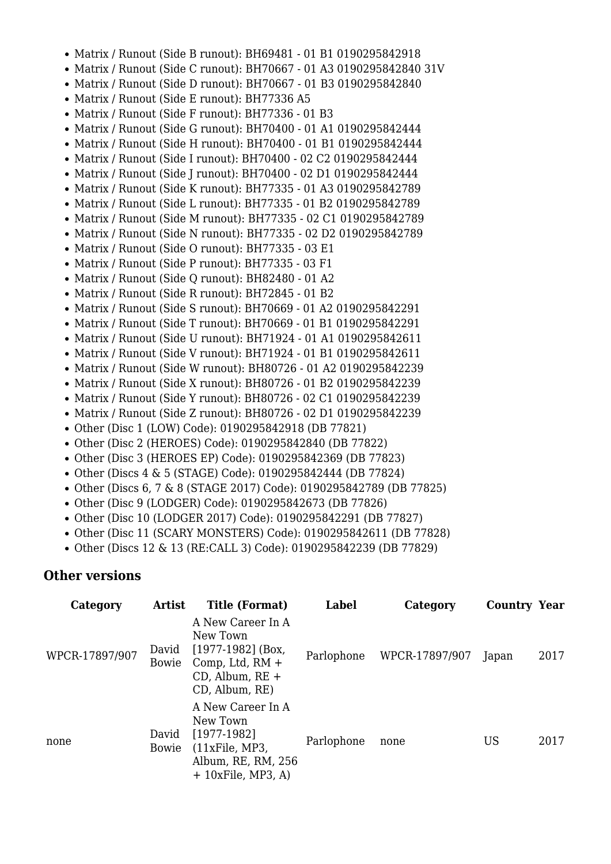- Matrix / Runout (Side B runout): BH69481 01 B1 0190295842918
- Matrix / Runout (Side C runout): BH70667 01 A3 0190295842840 31V
- Matrix / Runout (Side D runout): BH70667 01 B3 0190295842840
- Matrix / Runout (Side E runout): BH77336 A5
- Matrix / Runout (Side F runout): BH77336 01 B3
- Matrix / Runout (Side G runout): BH70400 01 A1 0190295842444
- Matrix / Runout (Side H runout): BH70400 01 B1 0190295842444
- Matrix / Runout (Side I runout): BH70400 02 C2 0190295842444
- Matrix / Runout (Side J runout): BH70400 02 D1 0190295842444
- Matrix / Runout (Side K runout): BH77335 01 A3 0190295842789
- Matrix / Runout (Side L runout): BH77335 01 B2 0190295842789
- Matrix / Runout (Side M runout): BH77335 02 C1 0190295842789
- Matrix / Runout (Side N runout): BH77335 02 D2 0190295842789
- Matrix / Runout (Side O runout): BH77335 03 E1
- Matrix / Runout (Side P runout): BH77335 03 F1
- Matrix / Runout (Side Q runout): BH82480 01 A2
- Matrix / Runout (Side R runout): BH72845 01 B2
- Matrix / Runout (Side S runout): BH70669 01 A2 0190295842291
- Matrix / Runout (Side T runout): BH70669 01 B1 0190295842291
- Matrix / Runout (Side U runout): BH71924 01 A1 0190295842611
- Matrix / Runout (Side V runout): BH71924 01 B1 0190295842611
- Matrix / Runout (Side W runout): BH80726 01 A2 0190295842239
- Matrix / Runout (Side X runout): BH80726 01 B2 0190295842239
- Matrix / Runout (Side Y runout): BH80726 02 C1 0190295842239
- Matrix / Runout (Side Z runout): BH80726 02 D1 0190295842239
- Other (Disc 1 (LOW) Code): 0190295842918 (DB 77821)
- Other (Disc 2 (HEROES) Code): 0190295842840 (DB 77822)
- Other (Disc 3 (HEROES EP) Code): 0190295842369 (DB 77823)
- Other (Discs 4 & 5 (STAGE) Code): 0190295842444 (DB 77824)
- Other (Discs 6, 7 & 8 (STAGE 2017) Code): 0190295842789 (DB 77825)
- Other (Disc 9 (LODGER) Code): 0190295842673 (DB 77826)
- Other (Disc 10 (LODGER 2017) Code): 0190295842291 (DB 77827)
- Other (Disc 11 (SCARY MONSTERS) Code): 0190295842611 (DB 77828)
- Other (Discs 12 & 13 (RE:CALL 3) Code): 0190295842239 (DB 77829)

#### **Other versions**

| Category       | <b>Artist</b>  | <b>Title (Format)</b>                                                                                             | Label      | Category       | <b>Country Year</b> |      |
|----------------|----------------|-------------------------------------------------------------------------------------------------------------------|------------|----------------|---------------------|------|
| WPCR-17897/907 | David<br>Bowie | A New Career In A<br>New Town<br>$[1977-1982]$ (Box,<br>Comp, Ltd, $RM +$<br>$CD$ , Album, RE +<br>CD, Album, RE) | Parlophone | WPCR-17897/907 | Japan               | 2017 |
| none           | David<br>Bowie | A New Career In A<br>New Town<br>$[1977-1982]$<br>(11xFile, MP3,<br>Album, RE, RM, 256<br>$+10xFile, MP3, A)$     | Parlophone | none           | US                  | 2017 |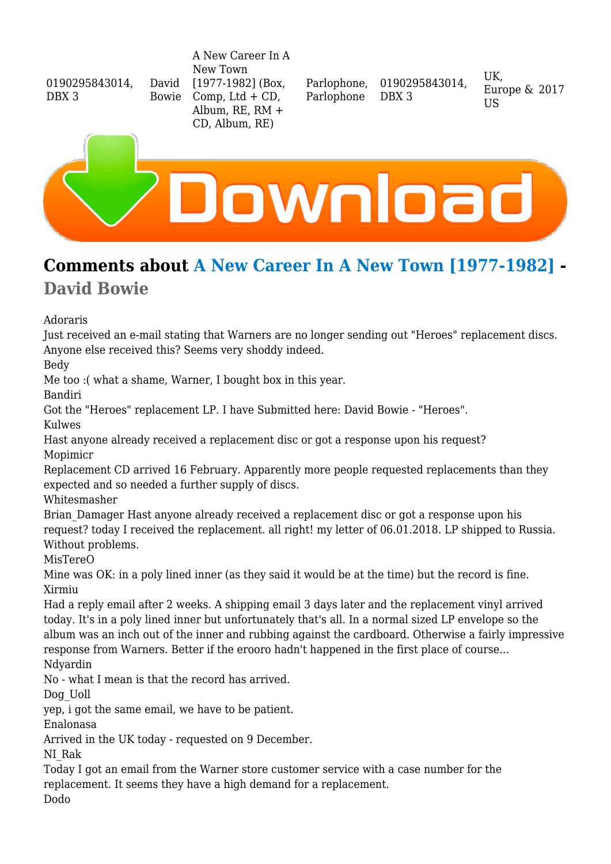0190295843014, DBX 3 David Bowie

A New Career In A New Town [1977-1982] (Box, Comp,  $Ltd + CD$ , Album, RE, RM + CD, Album, RE)

Parlophone, Parlophone

0190295843014, DBX 3

 $I K$ Europe & 2017 US



# **Comments about A New Career In A New Town [1977-1982] - David Bowie**

Adoraris

Just received an e-mail stating that Warners are no longer sending out "Heroes" replacement discs. Anyone else received this? Seems very shoddy indeed.

Bedy

Me too :( what a shame, Warner, I bought box in this year.

Bandiri

Got the "Heroes" replacement LP. I have Submitted here: David Bowie - "Heroes". Kulwes

Hast anyone already received a replacement disc or got a response upon his request? Mopimicr

Replacement CD arrived 16 February. Apparently more people requested replacements than they expected and so needed a further supply of discs.

Whitesmasher

Brian\_Damager Hast anyone already received a replacement disc or got a response upon his request? today I received the replacement. all right! my letter of 06.01.2018. LP shipped to Russia. Without problems.

MisTereO

Mine was OK: in a poly lined inner (as they said it would be at the time) but the record is fine. Xirmiu

Had a reply email after 2 weeks. A shipping email 3 days later and the replacement vinyl arrived today. It's in a poly lined inner but unfortunately that's all. In a normal sized LP envelope so the album was an inch out of the inner and rubbing against the cardboard. Otherwise a fairly impressive response from Warners. Better if the erooro hadn't happened in the first place of course... Ndyardin

No - what I mean is that the record has arrived.

Dog\_Uoll

yep, i got the same email, we have to be patient.

Enalonasa

Arrived in the UK today - requested on 9 December.

NI\_Rak

Today I got an email from the Warner store customer service with a case number for the replacement. It seems they have a high demand for a replacement. Dodo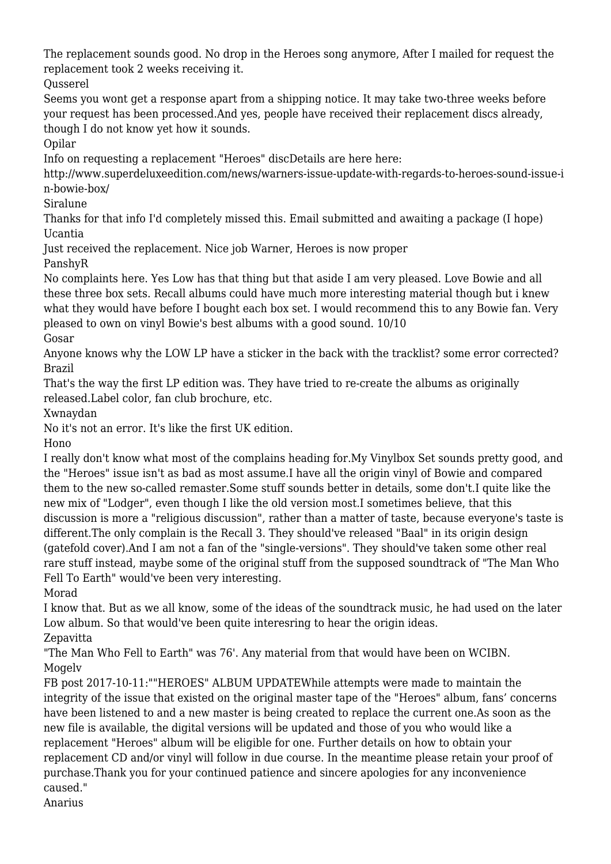The replacement sounds good. No drop in the Heroes song anymore, After I mailed for request the replacement took 2 weeks receiving it.

Qusserel

Seems you wont get a response apart from a shipping notice. It may take two-three weeks before your request has been processed.And yes, people have received their replacement discs already, though I do not know yet how it sounds.

Opilar

Info on requesting a replacement "Heroes" discDetails are here here:

http://www.superdeluxeedition.com/news/warners-issue-update-with-regards-to-heroes-sound-issue-i n-bowie-box/

Siralune

Thanks for that info I'd completely missed this. Email submitted and awaiting a package (I hope) Ucantia

Just received the replacement. Nice job Warner, Heroes is now proper

PanshyR

No complaints here. Yes Low has that thing but that aside I am very pleased. Love Bowie and all these three box sets. Recall albums could have much more interesting material though but i knew what they would have before I bought each box set. I would recommend this to any Bowie fan. Very pleased to own on vinyl Bowie's best albums with a good sound. 10/10

Gosar

Anyone knows why the LOW LP have a sticker in the back with the tracklist? some error corrected? Brazil

That's the way the first LP edition was. They have tried to re-create the albums as originally released.Label color, fan club brochure, etc.

Xwnaydan

No it's not an error. It's like the first UK edition.

Hono

I really don't know what most of the complains heading for.My Vinylbox Set sounds pretty good, and the "Heroes" issue isn't as bad as most assume.I have all the origin vinyl of Bowie and compared them to the new so-called remaster.Some stuff sounds better in details, some don't.I quite like the new mix of "Lodger", even though I like the old version most.I sometimes believe, that this discussion is more a "religious discussion", rather than a matter of taste, because everyone's taste is different.The only complain is the Recall 3. They should've released "Baal" in its origin design (gatefold cover).And I am not a fan of the "single-versions". They should've taken some other real rare stuff instead, maybe some of the original stuff from the supposed soundtrack of "The Man Who Fell To Earth" would've been very interesting.

Morad

I know that. But as we all know, some of the ideas of the soundtrack music, he had used on the later Low album. So that would've been quite interesring to hear the origin ideas.

Zepavitta

"The Man Who Fell to Earth" was 76'. Any material from that would have been on WCIBN. Mogelv

FB post 2017-10-11:""HEROES" ALBUM UPDATEWhile attempts were made to maintain the integrity of the issue that existed on the original master tape of the "Heroes" album, fans' concerns have been listened to and a new master is being created to replace the current one.As soon as the new file is available, the digital versions will be updated and those of you who would like a replacement "Heroes" album will be eligible for one. Further details on how to obtain your replacement CD and/or vinyl will follow in due course. In the meantime please retain your proof of purchase.Thank you for your continued patience and sincere apologies for any inconvenience caused."

Anarius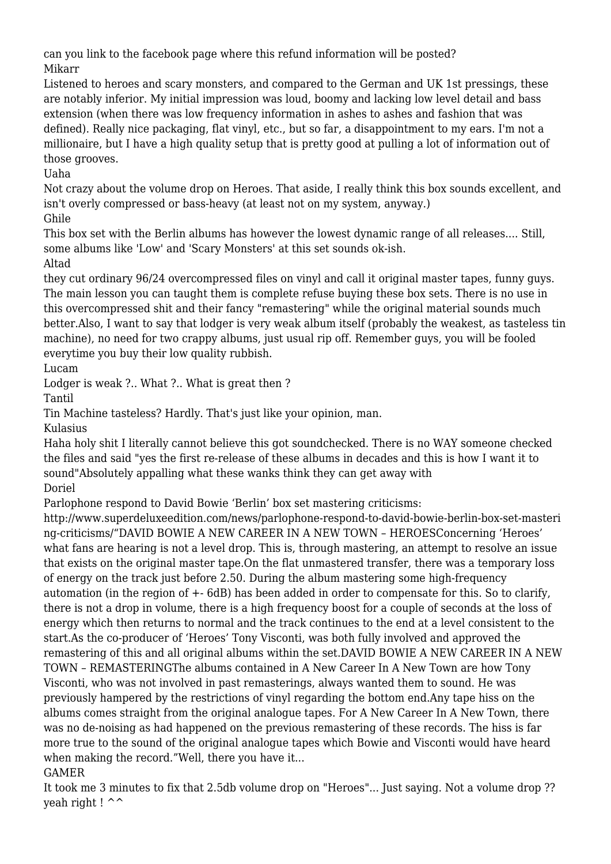can you link to the facebook page where this refund information will be posted? Mikarr

Listened to heroes and scary monsters, and compared to the German and UK 1st pressings, these are notably inferior. My initial impression was loud, boomy and lacking low level detail and bass extension (when there was low frequency information in ashes to ashes and fashion that was defined). Really nice packaging, flat vinyl, etc., but so far, a disappointment to my ears. I'm not a millionaire, but I have a high quality setup that is pretty good at pulling a lot of information out of those grooves.

Uaha

Not crazy about the volume drop on Heroes. That aside, I really think this box sounds excellent, and isn't overly compressed or bass-heavy (at least not on my system, anyway.)

Ghile

This box set with the Berlin albums has however the lowest dynamic range of all releases.... Still, some albums like 'Low' and 'Scary Monsters' at this set sounds ok-ish.

Altad

they cut ordinary 96/24 overcompressed files on vinyl and call it original master tapes, funny guys. The main lesson you can taught them is complete refuse buying these box sets. There is no use in this overcompressed shit and their fancy "remastering" while the original material sounds much better.Also, I want to say that lodger is very weak album itself (probably the weakest, as tasteless tin machine), no need for two crappy albums, just usual rip off. Remember guys, you will be fooled everytime you buy their low quality rubbish.

Lucam

Lodger is weak ?.. What ?.. What is great then ?

Tantil

Tin Machine tasteless? Hardly. That's just like your opinion, man.

Kulasius

Haha holy shit I literally cannot believe this got soundchecked. There is no WAY someone checked the files and said "yes the first re-release of these albums in decades and this is how I want it to sound"Absolutely appalling what these wanks think they can get away with Doriel

Parlophone respond to David Bowie 'Berlin' box set mastering criticisms:

http://www.superdeluxeedition.com/news/parlophone-respond-to-david-bowie-berlin-box-set-masteri ng-criticisms/"DAVID BOWIE A NEW CAREER IN A NEW TOWN – HEROESConcerning 'Heroes' what fans are hearing is not a level drop. This is, through mastering, an attempt to resolve an issue that exists on the original master tape.On the flat unmastered transfer, there was a temporary loss of energy on the track just before 2.50. During the album mastering some high-frequency automation (in the region of +- 6dB) has been added in order to compensate for this. So to clarify, there is not a drop in volume, there is a high frequency boost for a couple of seconds at the loss of energy which then returns to normal and the track continues to the end at a level consistent to the start.As the co-producer of 'Heroes' Tony Visconti, was both fully involved and approved the remastering of this and all original albums within the set.DAVID BOWIE A NEW CAREER IN A NEW TOWN – REMASTERINGThe albums contained in A New Career In A New Town are how Tony Visconti, who was not involved in past remasterings, always wanted them to sound. He was previously hampered by the restrictions of vinyl regarding the bottom end.Any tape hiss on the albums comes straight from the original analogue tapes. For A New Career In A New Town, there was no de-noising as had happened on the previous remastering of these records. The hiss is far more true to the sound of the original analogue tapes which Bowie and Visconti would have heard when making the record."Well, there you have it...

## GAMER

It took me 3 minutes to fix that 2.5db volume drop on "Heroes"... Just saying. Not a volume drop ?? yeah right ! ^^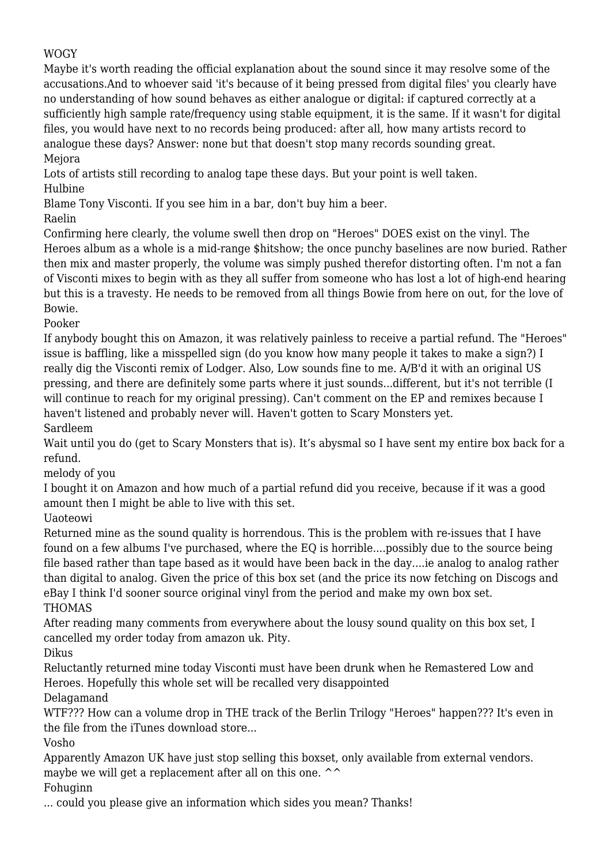## **WOGY**

Maybe it's worth reading the official explanation about the sound since it may resolve some of the accusations.And to whoever said 'it's because of it being pressed from digital files' you clearly have no understanding of how sound behaves as either analogue or digital: if captured correctly at a sufficiently high sample rate/frequency using stable equipment, it is the same. If it wasn't for digital files, you would have next to no records being produced: after all, how many artists record to analogue these days? Answer: none but that doesn't stop many records sounding great. Mejora

Lots of artists still recording to analog tape these days. But your point is well taken. Hulbine

Blame Tony Visconti. If you see him in a bar, don't buy him a beer.

Raelin

Confirming here clearly, the volume swell then drop on "Heroes" DOES exist on the vinyl. The Heroes album as a whole is a mid-range \$hitshow; the once punchy baselines are now buried. Rather then mix and master properly, the volume was simply pushed therefor distorting often. I'm not a fan of Visconti mixes to begin with as they all suffer from someone who has lost a lot of high-end hearing but this is a travesty. He needs to be removed from all things Bowie from here on out, for the love of Bowie.

Pooker

If anybody bought this on Amazon, it was relatively painless to receive a partial refund. The "Heroes" issue is baffling, like a misspelled sign (do you know how many people it takes to make a sign?) I really dig the Visconti remix of Lodger. Also, Low sounds fine to me. A/B'd it with an original US pressing, and there are definitely some parts where it just sounds...different, but it's not terrible (I will continue to reach for my original pressing). Can't comment on the EP and remixes because I haven't listened and probably never will. Haven't gotten to Scary Monsters yet.

Sardleem

Wait until you do (get to Scary Monsters that is). It's abysmal so I have sent my entire box back for a refund.

melody of you

I bought it on Amazon and how much of a partial refund did you receive, because if it was a good amount then I might be able to live with this set.

Uaoteowi

Returned mine as the sound quality is horrendous. This is the problem with re-issues that I have found on a few albums I've purchased, where the EQ is horrible....possibly due to the source being file based rather than tape based as it would have been back in the day....ie analog to analog rather than digital to analog. Given the price of this box set (and the price its now fetching on Discogs and eBay I think I'd sooner source original vinyl from the period and make my own box set. THOMAS

After reading many comments from everywhere about the lousy sound quality on this box set, I cancelled my order today from amazon uk. Pity.

Dikus

Reluctantly returned mine today Visconti must have been drunk when he Remastered Low and Heroes. Hopefully this whole set will be recalled very disappointed

Delagamand

WTF??? How can a volume drop in THE track of the Berlin Trilogy "Heroes" happen??? It's even in the file from the iTunes download store...

Vosho

Apparently Amazon UK have just stop selling this boxset, only available from external vendors. maybe we will get a replacement after all on this one.  $\hat{ }$ 

Fohuginn

... could you please give an information which sides you mean? Thanks!